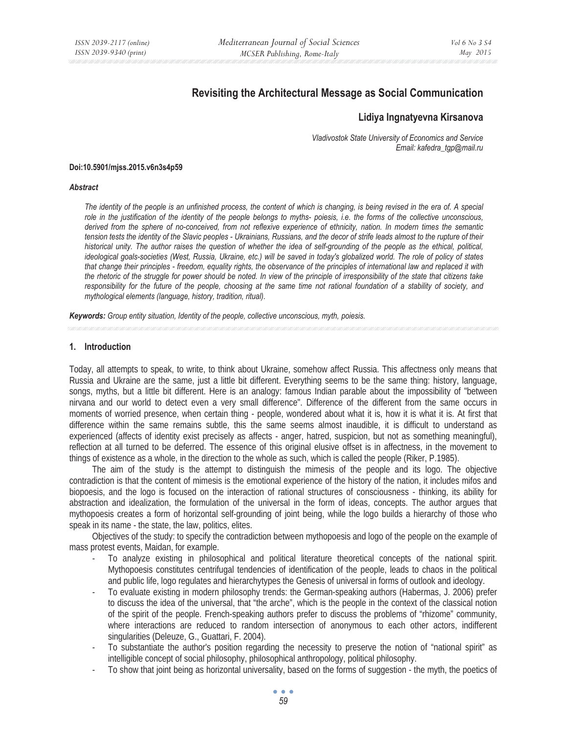# **Revisiting the Architectural Message as Social Communication**

# **Lidiya Ingnatyevna Kirsanova**

*Vladivostok State University of Economics and Service Email: kafedra\_tgp@mail.ru* 

#### **Doi:10.5901/mjss.2015.v6n3s4p59**

#### *Abstract*

*The identity of the people is an unfinished process, the content of which is changing, is being revised in the era of. A special role in the justification of the identity of the people belongs to myths- poiesis, i.e. the forms of the collective unconscious, derived from the sphere of no-conceived, from not reflexive experience of ethnicity, nation. In modern times the semantic tension tests the identity of the Slavic peoples - Ukrainians, Russians, and the decor of strife leads almost to the rupture of their historical unity. The author raises the question of whether the idea of self-grounding of the people as the ethical, political, ideological goals-societies (West, Russia, Ukraine, etc.) will be saved in today's globalized world. The role of policy of states that change their principles - freedom, equality rights, the observance of the principles of international law and replaced it with the rhetoric of the struggle for power should be noted. In view of the principle of irresponsibility of the state that citizens take responsibility for the future of the people, choosing at the same time not rational foundation of a stability of society, and mythological elements (language, history, tradition, ritual).* 

*Keywords: Group entity situation, Identity of the people, collective unconscious, myth, ɪoiesis.*

#### **1. Introduction**

Today, all attempts to speak, to write, to think about Ukraine, somehow affect Russia. This affectness only means that Russia and Ukraine are the same, just a little bit different. Everything seems to be the same thing: history, language, songs, myths, but a little bit different. Here is an analogy: famous Indian parable about the impossibility of "between nirvana and our world to detect even a very small difference". Difference of the different from the same occurs in moments of worried presence, when certain thing - people, wondered about what it is, how it is what it is. At first that difference within the same remains subtle, this the same seems almost inaudible, it is difficult to understand as experienced (affects of identity exist precisely as affects - anger, hatred, suspicion, but not as something meaningful), reflection at all turned to be deferred. The essence of this original elusive offset is in affectness, in the movement to things of existence as a whole, in the direction to the whole as such, which is called the people (Riker, P.1985).

The aim of the study is the attempt to distinguish the mimesis of the people and its logo. The objective contradiction is that the content of mimesis is the emotional experience of the history of the nation, it includes mifos and biopoesis, and the logo is focused on the interaction of rational structures of consciousness - thinking, its ability for abstraction and idealization, the formulation of the universal in the form of ideas, concepts. The author argues that mythopoesis creates a form of horizontal self-grounding of joint being, while the logo builds a hierarchy of those who speak in its name - the state, the law, politics, elites.

Objectives of the study: to specify the contradiction between mythopoesis and logo of the people on the example of mass protest events, Maidan, for example.

- To analyze existing in philosophical and political literature theoretical concepts of the national spirit. Mythopoesis constitutes centrifugal tendencies of identification of the people, leads to chaos in the political and public life, logo regulates and hierarchytypes the Genesis of universal in forms of outlook and ideology.
- To evaluate existing in modern philosophy trends: the German-speaking authors (Habermas, J. 2006) prefer to discuss the idea of the universal, that "the arche", which is the people in the context of the classical notion of the spirit of the people. French-speaking authors prefer to discuss the problems of "rhizome" community, where interactions are reduced to random intersection of anonymous to each other actors, indifferent singularities (Deleuze, G., Guattari, F. 2004).
- To substantiate the author's position regarding the necessity to preserve the notion of "national spirit" as intelligible concept of social philosophy, philosophical anthropology, political philosophy.
- To show that joint being as horizontal universality, based on the forms of suggestion the myth, the poetics of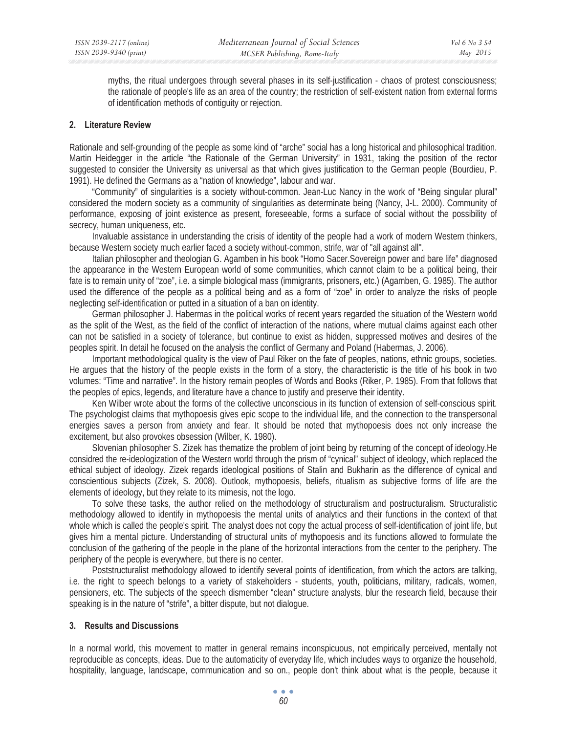myths, the ritual undergoes through several phases in its self-justification - chaos of protest consciousness; the rationale of people's life as an area of the country; the restriction of self-existent nation from external forms of identification methods of contiguity or rejection.

## **2. Literature Review**

Rationale and self-grounding of the people as some kind of "arche" social has a long historical and philosophical tradition. Martin Heidegger in the article "the Rationale of the German University" in 1931, taking the position of the rector suggested to consider the University as universal as that which gives justification to the German people (Bourdieu, P. 1991). He defined the Germans as a "nation of knowledge", labour and war.

"Community" of singularities is a society without-common. Jean-Luc Nancy in the work of "Being singular plural" considered the modern society as a community of singularities as determinate being (Nancy, J-L. 2000). Community of performance, exposing of joint existence as present, foreseeable, forms a surface of social without the possibility of secrecy, human uniqueness, etc.

Invaluable assistance in understanding the crisis of identity of the people had a work of modern Western thinkers, because Western society much earlier faced a society without-common, strife, war of "all against all".

Italian philosopher and theologian G. Agamben in his book "Homo Sacer.Sovereign power and bare life" diagnosed the appearance in the Western European world of some communities, which cannot claim to be a political being, their fate is to remain unity of "zoe", i.e. a simple biological mass (immigrants, prisoners, etc.) (Agamben, G. 1985). The author used the difference of the people as a political being and as a form of "zoe" in order to analyze the risks of people neglecting self-identification or putted in a situation of a ban on identity.

German philosopher J. Habermas in the political works of recent years regarded the situation of the Western world as the split of the West, as the field of the conflict of interaction of the nations, where mutual claims against each other can not be satisfied in a society of tolerance, but continue to exist as hidden, suppressed motives and desires of the peoples spirit. In detail he focused on the analysis the conflict of Germany and Poland (Habermas, J. 2006).

Important methodological quality is the view of Paul Riker on the fate of peoples, nations, ethnic groups, societies. He argues that the history of the people exists in the form of a story, the characteristic is the title of his book in two volumes: "Time and narrative". In the history remain peoples of Words and Books (Riker, P. 1985). From that follows that the peoples of epics, legends, and literature have a chance to justify and preserve their identity.

Ken Wilber wrote about the forms of the collective unconscious in its function of extension of self-conscious spirit. The psychologist claims that mythopoesis gives epic scope to the individual life, and the connection to the transpersonal energies saves a person from anxiety and fear. It should be noted that mythopoesis does not only increase the excitement, but also provokes obsession (Wilber, K. 1980).

Slovenian philosopher S. Zizek has thematize the problem of joint being by returning of the concept of ideology.He considred the re-ideologization of the Western world through the prism of "cynical" subject of ideology, which replaced the ethical subject of ideology. Zizek regards ideological positions of Stalin and Bukharin as the difference of cynical and conscientious subjects (Zizek, S. 2008). Outlook, mythopoesis, beliefs, ritualism as subjective forms of life are the elements of ideology, but they relate to its mimesis, not the logo.

To solve these tasks, the author relied on the methodology of structuralism and postructuralism. Structuralistic methodology allowed to identify in mythopoesis the mental units of analytics and their functions in the context of that whole which is called the people's spirit. The analyst does not copy the actual process of self-identification of joint life, but gives him a mental picture. Understanding of structural units of mythopoesis and its functions allowed to formulate the conclusion of the gathering of the people in the plane of the horizontal interactions from the center to the periphery. The periphery of the people is everywhere, but there is no center.

Poststructuralist methodology allowed to identify several points of identification, from which the actors are talking, i.e. the right to speech belongs to a variety of stakeholders - students, youth, politicians, military, radicals, women, pensioners, etc. The subjects of the speech dismember "clean" structure analysts, blur the research field, because their speaking is in the nature of "strife", a bitter dispute, but not dialogue.

# **3. Results and Discussions**

In a normal world, this movement to matter in general remains inconspicuous, not empirically perceived, mentally not reproducible as concepts, ideas. Due to the automaticity of everyday life, which includes ways to organize the household, hospitality, language, landscape, communication and so on., people don't think about what is the people, because it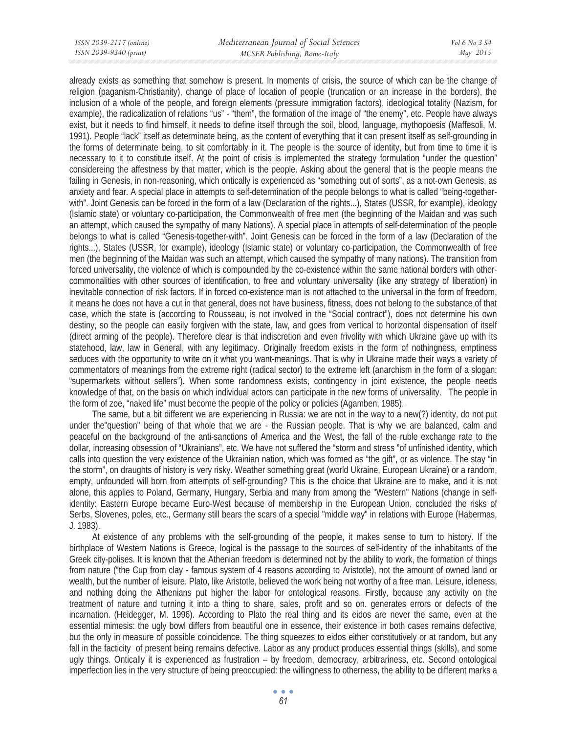already exists as something that somehow is present. In moments of crisis, the source of which can be the change of religion (paganism-Christianity), change of place of location of people (truncation or an increase in the borders), the inclusion of a whole of the people, and foreign elements (pressure immigration factors), ideological totality (Nazism, for example), the radicalization of relations "us" - "them", the formation of the image of "the enemy", etc. People have always exist, but it needs to find himself, it needs to define itself through the soil, blood, language, mythopoesis (Maffesoli, M. 1991). People "lack" itself as determinate being, as the content of everything that it can present itself as self-grounding in the forms of determinate being, to sit comfortably in it. The people is the source of identity, but from time to time it is necessary to it to constitute itself. At the point of crisis is implemented the strategy formulation "under the question" considereing the affestness by that matter, which is the people. Asking about the general that is the people means the failing in Genesis, in non-reasoning, which ontically is experienced as "something out of sorts", as a not-own Genesis, as anxiety and fear. A special place in attempts to self-determination of the people belongs to what is called "being-togetherwith". Joint Genesis can be forced in the form of a law (Declaration of the rights...), States (USSR, for example), ideology (Islamic state) or voluntary co-participation, the Commonwealth of free men (the beginning of the Maidan and was such an attempt, which caused the sympathy of many Nations). A special place in attempts of self-determination of the people belongs to what is called "Genesis-together-with". Joint Genesis can be forced in the form of a law (Declaration of the rights...), States (USSR, for example), ideology (Islamic state) or voluntary co-participation, the Commonwealth of free men (the beginning of the Maidan was such an attempt, which caused the sympathy of many nations). The transition from forced universality, the violence of which is compounded by the co-existence within the same national borders with othercommonalities with other sources of identification, to free and voluntary universality (like any strategy of liberation) in inevitable connection of risk factors. If in forced co-existence man is not attached to the universal in the form of freedom, it means he does not have a cut in that general, does not have business, fitness, does not belong to the substance of that case, which the state is (according to Rousseau, is not involved in the "Social contract"), does not determine his own destiny, so the people can easily forgiven with the state, law, and goes from vertical to horizontal dispensation of itself (direct arming of the people). Therefore clear is that indiscretion and even frivolity with which Ukraine gave up with its statehood, law, law in General, with any legitimacy. Originally freedom exists in the form of nothingness, emptiness seduces with the opportunity to write on it what you want-meanings. That is why in Ukraine made their ways a variety of commentators of meanings from the extreme right (radical sector) to the extreme left (anarchism in the form of a slogan: "supermarkets without sellers"). When some randomness exists, contingency in joint existence, the people needs knowledge of that, on the basis on which individual actors can participate in the new forms of universality. The people in the form of zoe, "naked life" must become the people of the policy or policies (Agamben, 1985).

The same, but a bit different we are experiencing in Russia: we are not in the way to a new(?) identity, do not put under the"question" being of that whole that we are - the Russian people. That is why we are balanced, calm and peaceful on the background of the anti-sanctions of America and the West, the fall of the ruble exchange rate to the dollar, increasing obsession of "Ukrainians", etc. We have not suffered the "storm and stress "of unfinished identity, which calls into question the very existence of the Ukrainian nation, which was formed as "the gift", or as violence. The stay "in the storm", on draughts of history is very risky. Weather something great (world Ukraine, European Ukraine) or a random, empty, unfounded will born from attempts of self-grounding? This is the choice that Ukraine are to make, and it is not alone, this applies to Poland, Germany, Hungary, Serbia and many from among the "Western" Nations (change in selfidentity: Eastern Europe became Euro-West because of membership in the European Union, concluded the risks of Serbs, Slovenes, poles, etc., Germany still bears the scars of a special "middle way" in relations with Europe (Habermas, J. 1983).

At existence of any problems with the self-grounding of the people, it makes sense to turn to history. If the birthplace of Western Nations is Greece, logical is the passage to the sources of self-identity of the inhabitants of the Greek city-polises. It is known that the Athenian freedom is determined not by the ability to work, the formation of things from nature ("the Cup from clay - famous system of 4 reasons according to Aristotle), not the amount of owned land or wealth, but the number of leisure. Plato, like Aristotle, believed the work being not worthy of a free man. Leisure, idleness, and nothing doing the Athenians put higher the labor for ontological reasons. Firstly, because any activity on the treatment of nature and turning it into a thing to share, sales, profit and so on. generates errors or defects of the incarnation. (Heidegger, M. 1996). According to Plato the real thing and its eidos are never the same, even at the essential mimesis: the ugly bowl differs from beautiful one in essence, their existence in both cases remains defective, but the only in measure of possible coincidence. The thing squeezes to eidos either constitutively or at random, but any fall in the facticity of present being remains defective. Labor as any product produces essential things (skills), and some ugly things. Ontically it is experienced as frustration – by freedom, democracy, arbitrariness, etc. Second ontological imperfection lies in the very structure of being preoccupied: the willingness to otherness, the ability to be different marks a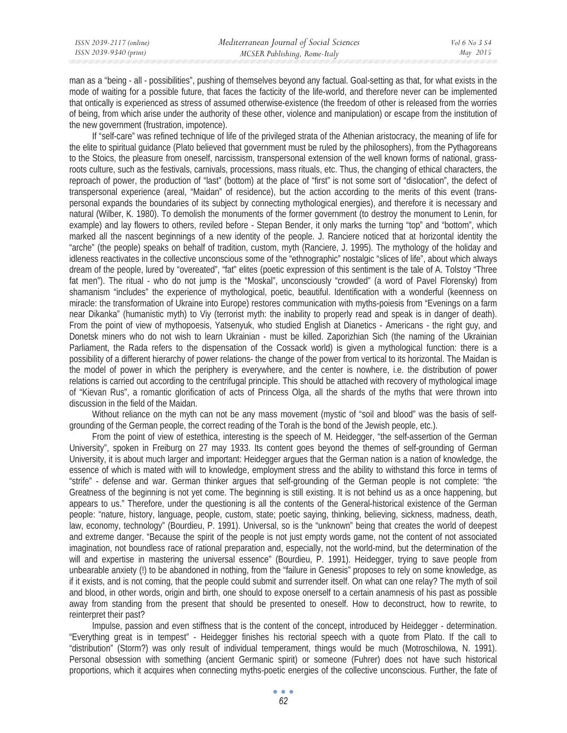man as a "being - all - possibilities", pushing of themselves beyond any factual. Goal-setting as that, for what exists in the mode of waiting for a possible future, that faces the facticity of the life-world, and therefore never can be implemented that ontically is experienced as stress of assumed otherwise-existence (the freedom of other is released from the worries of being, from which arise under the authority of these other, violence and manipulation) or escape from the institution of the new government (frustration, impotence).

If "self-care" was refined technique of life of the privileged strata of the Athenian aristocracy, the meaning of life for the elite to spiritual guidance (Plato believed that government must be ruled by the philosophers), from the Pythagoreans to the Stoics, the pleasure from oneself, narcissism, transpersonal extension of the well known forms of national, grassroots culture, such as the festivals, carnivals, processions, mass rituals, etc. Thus, the changing of ethical characters, the reproach of power, the production of "last" (bottom) at the place of "first" is not some sort of "dislocation", the defect of transpersonal experience (areal, "Maidan" of residence), but the action according to the merits of this event (transpersonal expands the boundaries of its subject by connecting mythological energies), and therefore it is necessary and natural (Wilber, K. 1980). To demolish the monuments of the former government (to destroy the monument to Lenin, for example) and lay flowers to others, reviled before - Stepan Bender, it only marks the turning "top" and "bottom", which marked all the nascent beginnings of a new identity of the people. J. Ranciere noticed that at horizontal identity the "arche" (the people) speaks on behalf of tradition, custom, myth (Ranciere, J. 1995). The mythology of the holiday and idleness reactivates in the collective unconscious some of the "ethnographic" nostalgic "slices of life", about which always dream of the people, lured by "overeated", "fat" elites (poetic expression of this sentiment is the tale of A. Tolstoy "Three fat men"). The ritual - who do not jump is the "Moskal", unconsciously "crowded" (a word of Pavel Florensky) from shamanism "includes" the experience of mythological, poetic, beautiful. Identification with a wonderful (keenness on miracle: the transformation of Ukraine into Europe) restores communication with myths-poiesis from "Evenings on a farm near Dikanka" (humanistic myth) to Viy (terrorist myth: the inability to properly read and speak is in danger of death). From the point of view of mythopoesis, Yatsenyuk, who studied English at Dianetics - Americans - the right guy, and Donetsk miners who do not wish to learn Ukrainian - must be killed. Zaporizhian Sich (the naming of the Ukrainian Parliament, the Rada refers to the dispensation of the Cossack world) is given a mythological function: there is a possibility of a different hierarchy of power relations- the change of the power from vertical to its horizontal. The Maidan is the model of power in which the periphery is everywhere, and the center is nowhere, i.e. the distribution of power relations is carried out according to the centrifugal principle. This should be attached with recovery of mythological image of "Kievan Rus", a romantic glorification of acts of Princess Olga, all the shards of the myths that were thrown into discussion in the field of the Maidan.

Without reliance on the myth can not be any mass movement (mystic of "soil and blood" was the basis of selfgrounding of the German people, the correct reading of the Torah is the bond of the Jewish people, etc.).

From the point of view of estethica, interesting is the speech of M. Heidegger, "the self-assertion of the German University", spoken in Freiburg on 27 may 1933. Its content goes beyond the themes of self-grounding of German University, it is about much larger and important: Heidegger argues that the German nation is a nation of knowledge, the essence of which is mated with will to knowledge, employment stress and the ability to withstand this force in terms of "strife" - defense and war. German thinker argues that self-grounding of the German people is not complete: "the Greatness of the beginning is not yet come. The beginning is still existing. It is not behind us as a once happening, but appears to us." Therefore, under the questioning is all the contents of the General-historical existence of the German people: "nature, history, language, people, custom, state; poetic saying, thinking, believing, sickness, madness, death, law, economy, technology" (Bourdieu, P. 1991). Universal, so is the "unknown" being that creates the world of deepest and extreme danger. "Because the spirit of the people is not just empty words game, not the content of not associated imagination, not boundless race of rational preparation and, especially, not the world-mind, but the determination of the will and expertise in mastering the universal essence" (Bourdieu, P. 1991). Heidegger, trying to save people from unbearable anxiety (!) to be abandoned in nothing, from the "failure in Genesis" proposes to rely on some knowledge, as if it exists, and is not coming, that the people could submit and surrender itself. On what can one relay? The myth of soil and blood, in other words, origin and birth, one should to expose onerself to a certain anamnesis of his past as possible away from standing from the present that should be presented to oneself. How to deconstruct, how to rewrite, to reinterpret their past?

Impulse, passion and even stiffness that is the content of the concept, introduced by Heidegger - determination. "Everything great is in tempest" - Heidegger finishes his rectorial speech with a quote from Plato. If the call to "distribution" (Storm?) was only result of individual temperament, things would be much (Motroschilowa, N. 1991). Personal obsession with something (ancient Germanic spirit) or someone (Fuhrer) does not have such historical proportions, which it acquires when connecting myths-poetic energies of the collective unconscious. Further, the fate of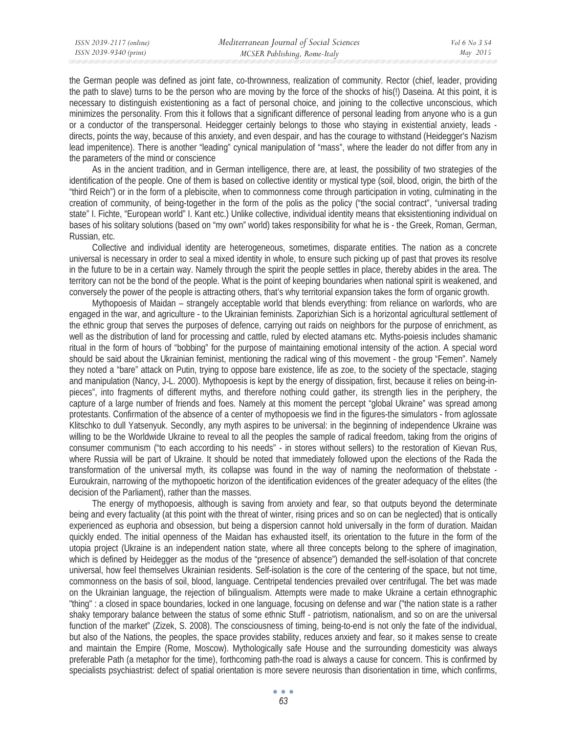the German people was defined as joint fate, co-thrownness, realization of community. Rector (chief, leader, providing the path to slave) turns to be the person who are moving by the force of the shocks of his(!) Daseina. At this point, it is necessary to distinguish existentioning as a fact of personal choice, and joining to the collective unconscious, which minimizes the personality. From this it follows that a significant difference of personal leading from anyone who is a gun or a conductor of the transpersonal. Heidegger certainly belongs to those who staying in existential anxiety, leads directs, points the way, because of this anxiety, and even despair, and has the courage to withstand (Heidegger's Nazism lead impenitence). There is another "leading" cynical manipulation of "mass", where the leader do not differ from any in the parameters of the mind or conscience

As in the ancient tradition, and in German intelligence, there are, at least, the possibility of two strategies of the identification of the people. One of them is based on collective identity or mystical type (soil, blood, origin, the birth of the "third Reich") or in the form of a plebiscite, when to commonness come through participation in voting, culminating in the creation of community, of being-together in the form of the polis as the policy ("the social contract", "universal trading state" I. Fichte, "European world" I. Kant etc.) Unlike collective, individual identity means that eksistentioning individual on bases of his solitary solutions (based on "my own" world) takes responsibility for what he is - the Greek, Roman, German, Russian, etc.

Collective and individual identity are heterogeneous, sometimes, disparate entities. The nation as a concrete universal is necessary in order to seal a mixed identity in whole, to ensure such picking up of past that proves its resolve in the future to be in a certain way. Namely through the spirit the people settles in place, thereby abides in the area. The territory can not be the bond of the people. What is the point of keeping boundaries when national spirit is weakened, and conversely the power of the people is attracting others, that's why territorial expansion takes the form of organic growth.

Mythopoesis of Maidan – strangely acceptable world that blends everything: from reliance on warlords, who are engaged in the war, and agriculture - to the Ukrainian feminists. Zaporizhian Sich is a horizontal agricultural settlement of the ethnic group that serves the purposes of defence, carrying out raids on neighbors for the purpose of enrichment, as well as the distribution of land for processing and cattle, ruled by elected atamans etc. Myths-poiesis includes shamanic ritual in the form of hours of "bobbing" for the purpose of maintaining emotional intensity of the action. A special word should be said about the Ukrainian feminist, mentioning the radical wing of this movement - the group "Femen". Namely they noted a "bare" attack on Putin, trying to oppose bare existence, life as zoe, to the society of the spectacle, staging and manipulation (Nancy, J-L. 2000). Mythopoesis is kept by the energy of dissipation, first, because it relies on being-inpieces", into fragments of different myths, and therefore nothing could gather, its strength lies in the periphery, the capture of a large number of friends and foes. Namely at this moment the percept "global Ukraine" was spread among protestants. Confirmation of the absence of a center of mythopoesis we find in the figures-the simulators - from aglossate Klitschko to dull Yatsenyuk. Secondly, any myth aspires to be universal: in the beginning of independence Ukraine was willing to be the Worldwide Ukraine to reveal to all the peoples the sample of radical freedom, taking from the origins of consumer communism ("to each according to his needs" - in stores without sellers) to the restoration of Kievan Rus, where Russia will be part of Ukraine. It should be noted that immediately followed upon the elections of the Rada the transformation of the universal myth, its collapse was found in the way of naming the neoformation of thebstate - Euroukrain, narrowing of the mythopoetic horizon of the identification evidences of the greater adequacy of the elites (the decision of the Parliament), rather than the masses.

The energy of mythopoesis, although is saving from anxiety and fear, so that outputs beyond the determinate being and every factuality (at this point with the threat of winter, rising prices and so on can be neglected) that is ontically experienced as euphoria and obsession, but being a dispersion cannot hold universally in the form of duration. Maidan quickly ended. The initial openness of the Maidan has exhausted itself, its orientation to the future in the form of the utopia project (Ukraine is an independent nation state, where all three concepts belong to the sphere of imagination, which is defined by Heidegger as the modus of the "presence of absence") demanded the self-isolation of that concrete universal, how feel themselves Ukrainian residents. Self-isolation is the core of the centering of the space, but not time, commonness on the basis of soil, blood, language. Centripetal tendencies prevailed over centrifugal. The bet was made on the Ukrainian language, the rejection of bilingualism. Attempts were made to make Ukraine a certain ethnographic "thing" : a closed in space boundaries, locked in one language, focusing on defense and war ("the nation state is a rather shaky temporary balance between the status of some ethnic Stuff - patriotism, nationalism, and so on are the universal function of the market" (Zizek, S. 2008). The consciousness of timing, being-to-end is not only the fate of the individual, but also of the Nations, the peoples, the space provides stability, reduces anxiety and fear, so it makes sense to create and maintain the Empire (Rome, Moscow). Mythologically safe House and the surrounding domesticity was always preferable Path (a metaphor for the time), forthcoming path-the road is always a cause for concern. This is confirmed by specialists psychiastrist: defect of spatial orientation is more severe neurosis than disorientation in time, which confirms,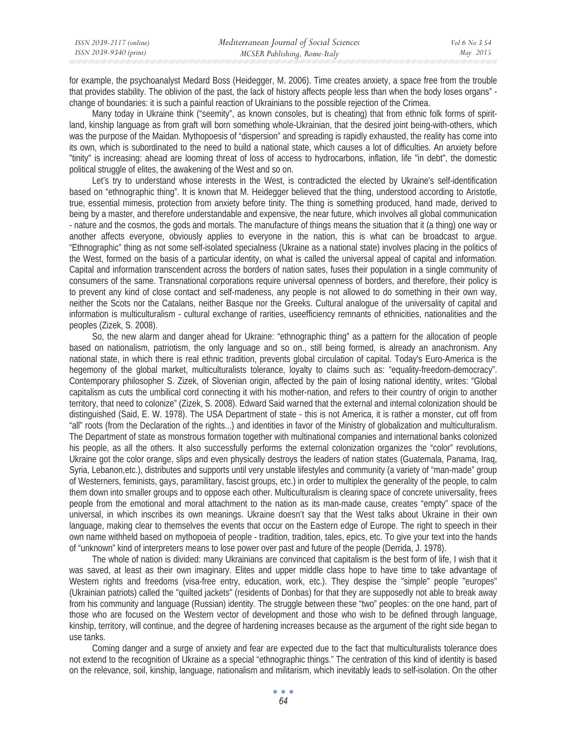| ISSN 2039-2117 (online) | Mediterranean Journal of Social Sciences | $Vol 6$ No 3 S4 |
|-------------------------|------------------------------------------|-----------------|
| ISSN 2039-9340 (print)  | MCSER Publishing, Rome-Italy             | May 2015        |

for example, the psychoanalyst Medard Boss (Heidegger, M. 2006). Time creates anxiety, a space free from the trouble that provides stability. The oblivion of the past, the lack of history affects people less than when the body loses organs" change of boundaries: it is such a painful reaction of Ukrainians to the possible rejection of the Crimea.

Many today in Ukraine think ("seemity", as known consoles, but is cheating) that from ethnic folk forms of spiritland, kinship language as from graft will born something whole-Ukrainian, that the desired joint being-with-others, which was the purpose of the Maidan. Mythopoesis of "dispersion" and spreading is rapidly exhausted, the reality has come into its own, which is subordinated to the need to build a national state, which causes a lot of difficulties. An anxiety before "tinity" is increasing: ahead are looming threat of loss of access to hydrocarbons, inflation, life "in debt", the domestic political struggle of elites, the awakening of the West and so on.

Let's try to understand whose interests in the West, is contradicted the elected by Ukraine's self-identification based on "ethnographic thing". It is known that M. Heidegger believed that the thing, understood according to Aristotle, true, essential mimesis, protection from anxiety before tinity. The thing is something produced, hand made, derived to being by a master, and therefore understandable and expensive, the near future, which involves all global communication - nature and the cosmos, the gods and mortals. The manufacture of things means the situation that it (a thing) one way or another affects everyone, obviously applies to everyone in the nation, this is what can be broadcast to argue. "Ethnographic" thing as not some self-isolated specialness (Ukraine as a national state) involves placing in the politics of the West, formed on the basis of a particular identity, on what is called the universal appeal of capital and information. Capital and information transcendent across the borders of nation sates, fuses their population in a single community of consumers of the same. Transnational corporations require universal openness of borders, and therefore, their policy is to prevent any kind of close contact and self-madeness, any people is not allowed to do something in their own way, neither the Scots nor the Catalans, neither Basque nor the Greeks. Cultural analogue of the universality of capital and information is multiculturalism - cultural exchange of rarities, useefficiency remnants of ethnicities, nationalities and the peoples (Zizek, S. 2008).

So, the new alarm and danger ahead for Ukraine: "ethnographic thing" as a pattern for the allocation of people based on nationalism, patriotism, the only language and so on., still being formed, is already an anachronism. Any national state, in which there is real ethnic tradition, prevents global circulation of capital. Today's Euro-America is the hegemony of the global market, multiculturalists tolerance, loyalty to claims such as: "equality-freedom-democracy". Contemporary philosopher S. Zizek, of Slovenian origin, affected by the pain of losing national identity, writes: "Global capitalism as cuts the umbilical cord connecting it with his mother-nation, and refers to their country of origin to another territory, that need to colonize" (Zizek, S. 2008). Edward Said warned that the external and internal colonization should be distinguished (Said, E. W. 1978). The USA Department of state - this is not America, it is rather a monster, cut off from "all" roots (from the Declaration of the rights...) and identities in favor of the Ministry of globalization and multiculturalism. The Department of state as monstrous formation together with multinational companies and international banks colonized his people, as all the others. It also successfully performs the external colonization organizes the "color" revolutions, Ukraine got the color orange, slips and even physically destroys the leaders of nation states (Guatemala, Panama, Iraq, Syria, Lebanon,etc.), distributes and supports until very unstable lifestyles and community (a variety of "man-made" group of Westerners, feminists, gays, paramilitary, fascist groups, etc.) in order to multiplex the generality of the people, to calm them down into smaller groups and to oppose each other. Multiculturalism is clearing space of concrete universality, frees people from the emotional and moral attachment to the nation as its man-made cause, creates "empty" space of the universal, in which inscribes its own meanings. Ukraine doesn't say that the West talks about Ukraine in their own language, making clear to themselves the events that occur on the Eastern edge of Europe. The right to speech in their own name withheld based on mythopoeia of people - tradition, tradition, tales, epics, etc. To give your text into the hands of "unknown" kind of interpreters means to lose power over past and future of the people (Derrida, J. 1978).

The whole of nation is divided: many Ukrainians are convinced that capitalism is the best form of life, I wish that it was saved, at least as their own imaginary. Elites and upper middle class hope to have time to take advantage of Western rights and freedoms (visa-free entry, education, work, etc.). They despise the "simple" people "europes" (Ukrainian patriots) called the "quilted jackets" (residents of Donbas) for that they are supposedly not able to break away from his community and language (Russian) identity. The struggle between these "two" peoples: on the one hand, part of those who are focused on the Western vector of development and those who wish to be defined through language, kinship, territory, will continue, and the degree of hardening increases because as the argument of the right side began to use tanks.

Coming danger and a surge of anxiety and fear are expected due to the fact that multiculturalists tolerance does not extend to the recognition of Ukraine as a special "ethnographic things." The centration of this kind of identity is based on the relevance, soil, kinship, language, nationalism and militarism, which inevitably leads to self-isolation. On the other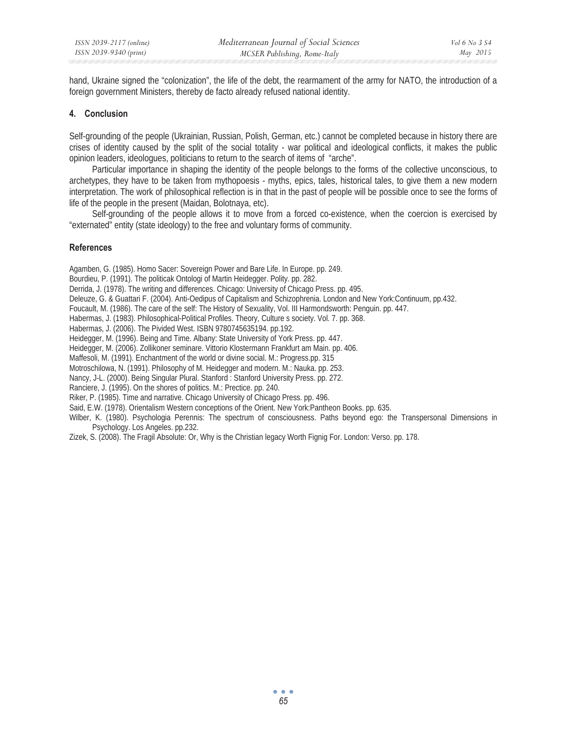hand, Ukraine signed the "colonization", the life of the debt, the rearmament of the army for NATO, the introduction of a foreign government Ministers, thereby de facto already refused national identity.

## **4. Conclusion**

Self-grounding of the people (Ukrainian, Russian, Polish, German, etc.) cannot be completed because in history there are crises of identity caused by the split of the social totality - war political and ideological conflicts, it makes the public opinion leaders, ideologues, politicians to return to the search of items of "arche".

Particular importance in shaping the identity of the people belongs to the forms of the collective unconscious, to archetypes, they have to be taken from mythopoesis - myths, epics, tales, historical tales, to give them a new modern interpretation. The work of philosophical reflection is in that in the past of people will be possible once to see the forms of life of the people in the present (Maidan, Bolotnaya, etc).

Self-grounding of the people allows it to move from a forced co-existence, when the coercion is exercised by "externated" entity (state ideology) to the free and voluntary forms of community.

## **References**

Agamben, G. (1985). Homo Sacer: Sovereign Power and Bare Life. In Europe. pp. 249.

Bourdieu, P. (1991). The politicak Ontologi of Martin Heidegger. Polity. pp. 282.

Derrida, J. (1978). The writing and differences. Chicago: University of Chicago Press. pp. 495.

Deleuze, G. & Guattari F. (2004). Anti-Oedipus of Capitalism and Schizophrenia. London and New York:Continuum, pp.432.

Foucault, M. (1986). The care of the self: The History of Sexuality, Vol. III Harmondsworth: Penguin. pp. 447.

Habermas, J. (1983). Philosophical-Political Profiles. Theory, Culture s society. Vol. 7. pp. 368.

Habermas, J. (2006). The Pivided West. ISBN 9780745635194. pp.192.

Heidegger, M. (1996). Being and Time. Albany: State University of York Press. pp. 447.

Heidegger, M. (2006). Zollikoner seminare. Vittorio Klostermann Frankfurt am Main. pp. 406.

Maffesoli, M. (1991). Enchantment of the world or divine social. M.: Progress.pp. 315

Motroschilowa, N. (1991). Philosophy of M. Heidegger and modern. M.: Nauka. pp. 253.

Nancy, J-L. (2000). Being Singular Plural. Stanford : Stanford University Press. pp. 272.

Ranciere, J. (1995). On the shores of politics. M.: Prectice. pp. 240.

Riker, P. (1985). Time and narrative. Chicago University of Chicago Press. pp. 496.

Said, E.W. (1978). Orientalism Western conceptions of the Orient. New York:Pantheon Books. pp. 635.

Wilber, K. (1980). Psychologia Perennis: The spectrum of consciousness. Paths beyond ego: the Transpersonal Dimensions in Psychology. Los Angeles. pp.232.

Zizek, S. (2008). The Fragil Absolute: Or, Why is the Christian legacy Worth Fignig For. London: Verso. pp. 178.